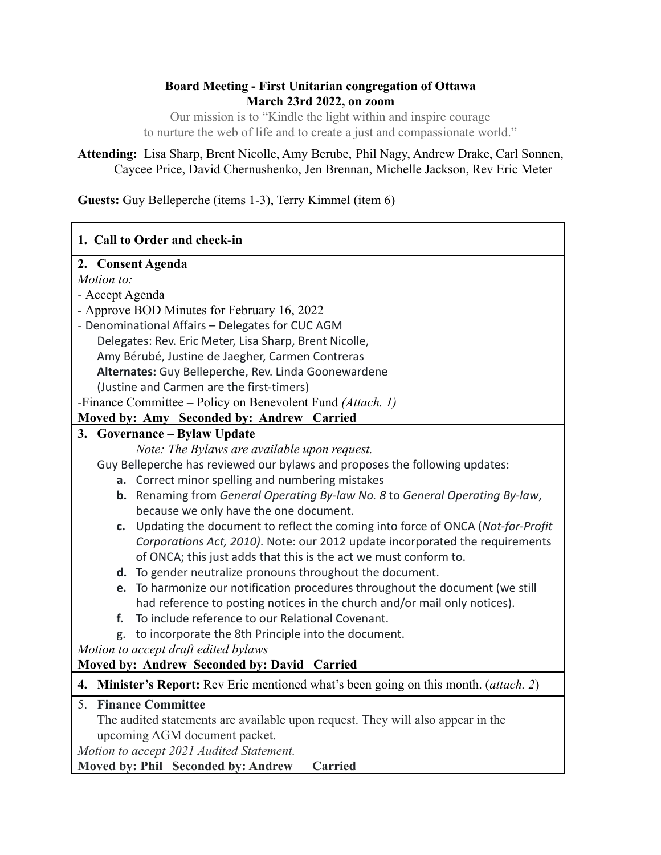# **Board Meeting - First Unitarian congregation of Ottawa March 23rd 2022, on zoom**

Our mission is to "Kindle the light within and inspire courage to nurture the web of life and to create a just and compassionate world."

# **Attending:** Lisa Sharp, Brent Nicolle, Amy Berube, Phil Nagy, Andrew Drake, Carl Sonnen, Caycee Price, David Chernushenko, Jen Brennan, Michelle Jackson, Rev Eric Meter

**Guests:** Guy Belleperche (items 1-3), Terry Kimmel (item 6)

| 1. Call to Order and check-in                                                            |  |  |  |  |
|------------------------------------------------------------------------------------------|--|--|--|--|
| 2. Consent Agenda                                                                        |  |  |  |  |
| Motion to:                                                                               |  |  |  |  |
| - Accept Agenda                                                                          |  |  |  |  |
| - Approve BOD Minutes for February 16, 2022                                              |  |  |  |  |
| - Denominational Affairs - Delegates for CUC AGM                                         |  |  |  |  |
| Delegates: Rev. Eric Meter, Lisa Sharp, Brent Nicolle,                                   |  |  |  |  |
| Amy Bérubé, Justine de Jaegher, Carmen Contreras                                         |  |  |  |  |
| Alternates: Guy Belleperche, Rev. Linda Goonewardene                                     |  |  |  |  |
| (Justine and Carmen are the first-timers)                                                |  |  |  |  |
| -Finance Committee - Policy on Benevolent Fund (Attach. 1)                               |  |  |  |  |
| Moved by: Amy Seconded by: Andrew Carried                                                |  |  |  |  |
| 3. Governance – Bylaw Update                                                             |  |  |  |  |
| Note: The Bylaws are available upon request.                                             |  |  |  |  |
| Guy Belleperche has reviewed our bylaws and proposes the following updates:              |  |  |  |  |
| a. Correct minor spelling and numbering mistakes                                         |  |  |  |  |
| b. Renaming from General Operating By-law No. 8 to General Operating By-law,             |  |  |  |  |
| because we only have the one document.                                                   |  |  |  |  |
| c. Updating the document to reflect the coming into force of ONCA (Not-for-Profit        |  |  |  |  |
| Corporations Act, 2010). Note: our 2012 update incorporated the requirements             |  |  |  |  |
| of ONCA; this just adds that this is the act we must conform to.                         |  |  |  |  |
| d. To gender neutralize pronouns throughout the document.                                |  |  |  |  |
| To harmonize our notification procedures throughout the document (we still<br>e.         |  |  |  |  |
| had reference to posting notices in the church and/or mail only notices).                |  |  |  |  |
| To include reference to our Relational Covenant.<br>f.                                   |  |  |  |  |
| to incorporate the 8th Principle into the document.<br>g.                                |  |  |  |  |
| Motion to accept draft edited bylaws                                                     |  |  |  |  |
| Moved by: Andrew Seconded by: David Carried                                              |  |  |  |  |
| Minister's Report: Rev Eric mentioned what's been going on this month. (attach. 2)<br>4. |  |  |  |  |
| 5. Finance Committee                                                                     |  |  |  |  |
| The audited statements are available upon request. They will also appear in the          |  |  |  |  |
| upcoming AGM document packet.                                                            |  |  |  |  |
| Motion to accept 2021 Audited Statement.                                                 |  |  |  |  |
| Moved by: Phil Seconded by: Andrew<br><b>Carried</b>                                     |  |  |  |  |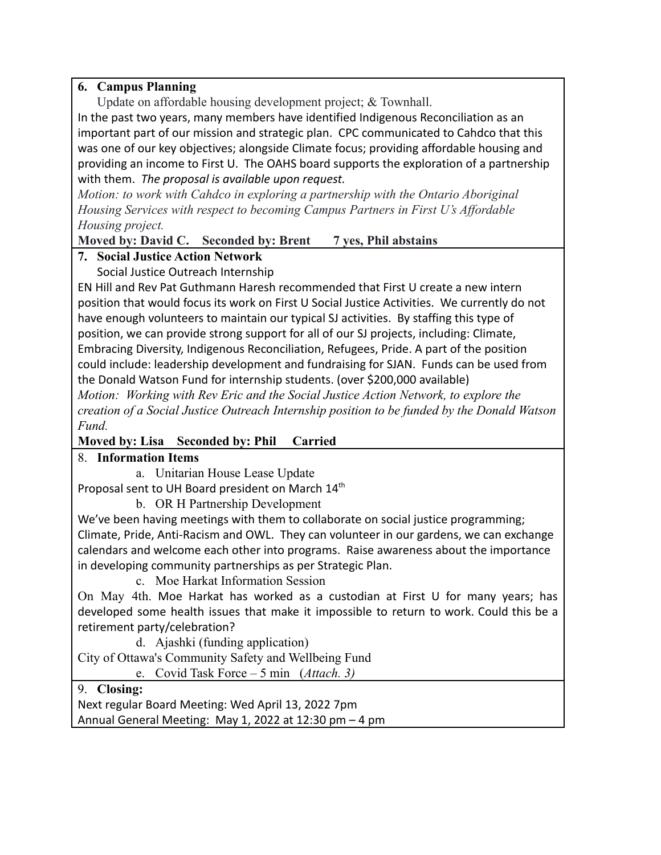# **6. Campus Planning**

Update on affordable housing development project; & Townhall.

In the past two years, many members have identified Indigenous Reconciliation as an important part of our mission and strategic plan. CPC communicated to Cahdco that this was one of our key objectives; alongside Climate focus; providing affordable housing and providing an income to First U. The OAHS board supports the exploration of a partnership with them. *The proposal is available upon request.*

*Motion: to work with Cahdco in exploring a partnership with the Ontario Aboriginal Housing Services with respect to becoming Campus Partners in First U's Affordable Housing project.*

**Moved by: David C. Seconded by: Brent 7 yes, Phil abstains**

# **7. Social Justice Action Network**

Social Justice Outreach Internship

EN Hill and Rev Pat Guthmann Haresh recommended that First U create a new intern position that would focus its work on First U Social Justice Activities. We currently do not have enough volunteers to maintain our typical SJ activities. By staffing this type of position, we can provide strong support for all of our SJ projects, including: Climate, Embracing Diversity, Indigenous Reconciliation, Refugees, Pride. A part of the position could include: leadership development and fundraising for SJAN. Funds can be used from the Donald Watson Fund for internship students. (over \$200,000 available)

*Motion: Working with Rev Eric and the Social Justice Action Network, to explore the creation of a Social Justice Outreach Internship position to be funded by the Donald Watson Fund.*

# **Moved by: Lisa Seconded by: Phil Carried**

# 8. **Information Items**

a. Unitarian House Lease Update

Proposal sent to UH Board president on March 14<sup>th</sup>

b. OR H Partnership Development

We've been having meetings with them to collaborate on social justice programming; Climate, Pride, Anti-Racism and OWL. They can volunteer in our gardens, we can exchange calendars and welcome each other into programs. Raise awareness about the importance in developing community partnerships as per Strategic Plan.

c. Moe Harkat Information Session

On May 4th. Moe Harkat has worked as a custodian at First U for many years; has developed some health issues that make it impossible to return to work. Could this be a retirement party/celebration?

d. Ajashki (funding application)

City of Ottawa's Community Safety and Wellbeing Fund

e. Covid Task Force – 5 min (*Attach. 3)*

# 9. **Closing:**

Next regular Board Meeting: Wed April 13, 2022 7pm Annual General Meeting: May 1, 2022 at 12:30 pm – 4 pm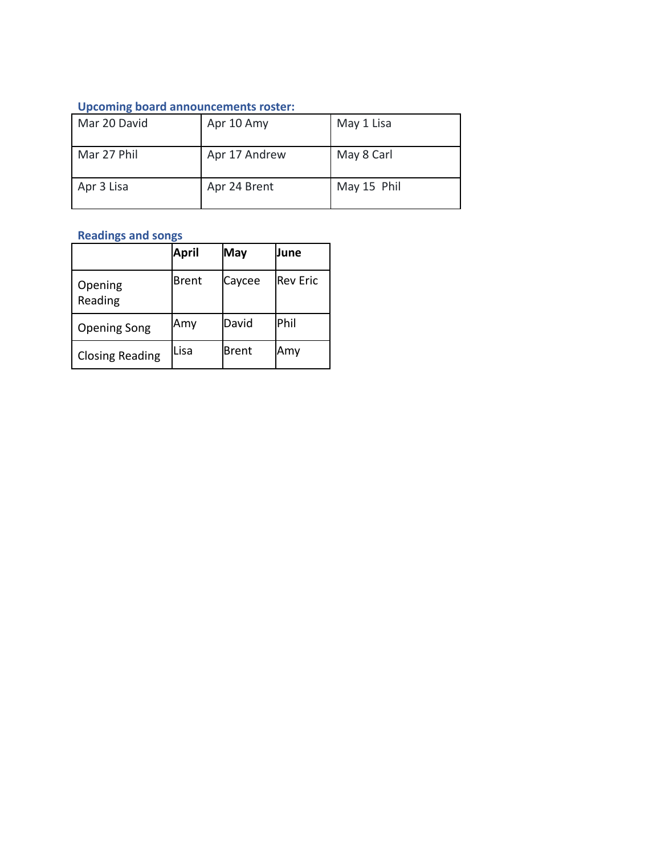### **Upcoming board announcements roster:**

| Mar 20 David | Apr 10 Amy    | May 1 Lisa  |
|--------------|---------------|-------------|
| Mar 27 Phil  | Apr 17 Andrew | May 8 Carl  |
| Apr 3 Lisa   | Apr 24 Brent  | May 15 Phil |

# **Readings and songs**

|                        | April        | May    | June      |
|------------------------|--------------|--------|-----------|
| Opening<br>Reading     | <b>Brent</b> | Caycee | lRev Eric |
| <b>Opening Song</b>    | Amy          | David  | lPhil     |
| <b>Closing Reading</b> | Lisa         | Brent  | Amy       |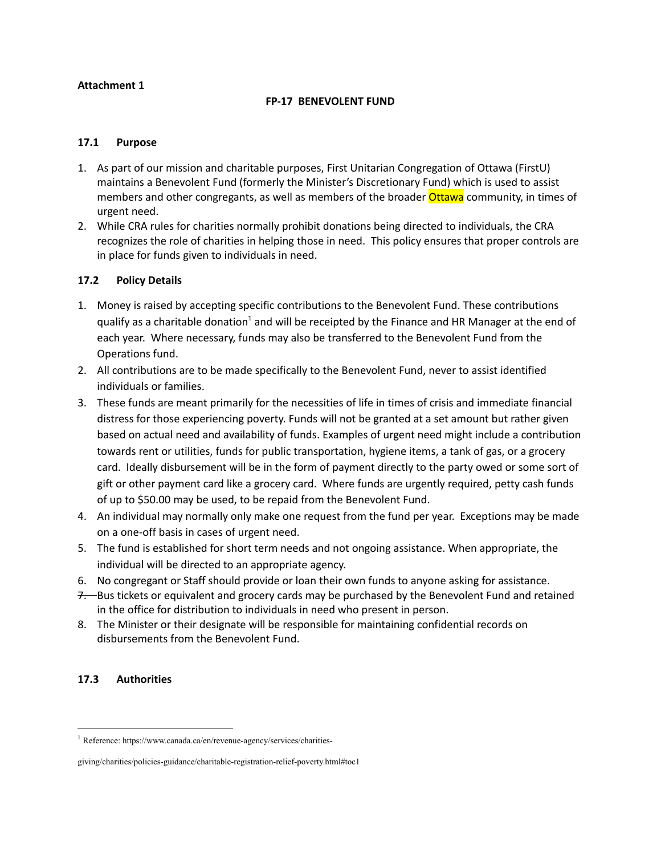### **Attachment 1**

#### **FP-17 BENEVOLENT FUND**

#### **17.1 Purpose**

- 1. As part of our mission and charitable purposes, First Unitarian Congregation of Ottawa (FirstU) maintains a Benevolent Fund (formerly the Minister's Discretionary Fund) which is used to assist members and other congregants, as well as members of the broader **Ottawa** community, in times of urgent need.
- 2. While CRA rules for charities normally prohibit donations being directed to individuals, the CRA recognizes the role of charities in helping those in need. This policy ensures that proper controls are in place for funds given to individuals in need.

#### **17.2 Policy Details**

- 1. Money is raised by accepting specific contributions to the Benevolent Fund. These contributions qualify as a charitable donation<sup>1</sup> and will be receipted by the Finance and HR Manager at the end of each year. Where necessary, funds may also be transferred to the Benevolent Fund from the Operations fund.
- 2. All contributions are to be made specifically to the Benevolent Fund, never to assist identified individuals or families.
- 3. These funds are meant primarily for the necessities of life in times of crisis and immediate financial distress for those experiencing poverty. Funds will not be granted at a set amount but rather given based on actual need and availability of funds. Examples of urgent need might include a contribution towards rent or utilities, funds for public transportation, hygiene items, a tank of gas, or a grocery card. Ideally disbursement will be in the form of payment directly to the party owed or some sort of gift or other payment card like a grocery card. Where funds are urgently required, petty cash funds of up to \$50.00 may be used, to be repaid from the Benevolent Fund.
- 4. An individual may normally only make one request from the fund per year. Exceptions may be made on a one-off basis in cases of urgent need.
- 5. The fund is established for short term needs and not ongoing assistance. When appropriate, the individual will be directed to an appropriate agency.
- 6. No congregant or Staff should provide or loan their own funds to anyone asking for assistance.
- 7. Bus tickets or equivalent and grocery cards may be purchased by the Benevolent Fund and retained in the office for distribution to individuals in need who present in person.
- 8. The Minister or their designate will be responsible for maintaining confidential records on disbursements from the Benevolent Fund.

### **17.3 Authorities**

<sup>1</sup> Reference: https://www.canada.ca/en/revenue-agency/services/charities-

giving/charities/policies-guidance/charitable-registration-relief-poverty.html#toc1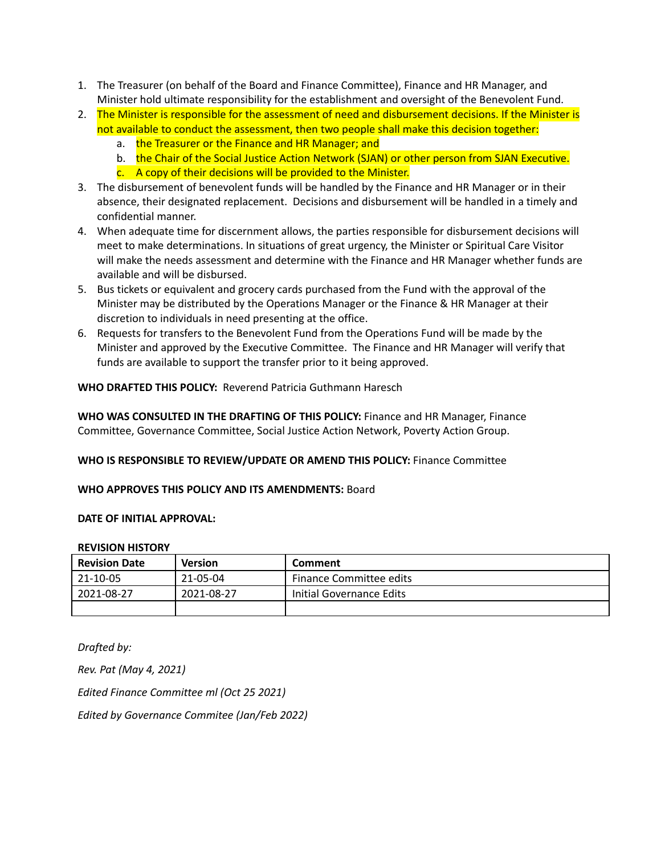- 1. The Treasurer (on behalf of the Board and Finance Committee), Finance and HR Manager, and Minister hold ultimate responsibility for the establishment and oversight of the Benevolent Fund.
- 2. The Minister is responsible for the assessment of need and disbursement decisions. If the Minister is not available to conduct the assessment, then two people shall make this decision together:
	- a. the Treasurer or the Finance and HR Manager; and
	- b. the Chair of the Social Justice Action Network (SJAN) or other person from SJAN Executive.
	- c. A copy of their decisions will be provided to the Minister.
- 3. The disbursement of benevolent funds will be handled by the Finance and HR Manager or in their absence, their designated replacement. Decisions and disbursement will be handled in a timely and confidential manner.
- 4. When adequate time for discernment allows, the parties responsible for disbursement decisions will meet to make determinations. In situations of great urgency, the Minister or Spiritual Care Visitor will make the needs assessment and determine with the Finance and HR Manager whether funds are available and will be disbursed.
- 5. Bus tickets or equivalent and grocery cards purchased from the Fund with the approval of the Minister may be distributed by the Operations Manager or the Finance & HR Manager at their discretion to individuals in need presenting at the office.
- 6. Requests for transfers to the Benevolent Fund from the Operations Fund will be made by the Minister and approved by the Executive Committee. The Finance and HR Manager will verify that funds are available to support the transfer prior to it being approved.

**WHO DRAFTED THIS POLICY:** Reverend Patricia Guthmann Haresch

**WHO WAS CONSULTED IN THE DRAFTING OF THIS POLICY:** Finance and HR Manager, Finance Committee, Governance Committee, Social Justice Action Network, Poverty Action Group.

### **WHO IS RESPONSIBLE TO REVIEW/UPDATE OR AMEND THIS POLICY:** Finance Committee

### **WHO APPROVES THIS POLICY AND ITS AMENDMENTS:** Board

#### **DATE OF INITIAL APPROVAL:**

#### **REVISION HISTORY**

| <b>Revision Date</b> | <b>Version</b> | Comment                        |  |  |
|----------------------|----------------|--------------------------------|--|--|
| 21-10-05             | 21-05-04       | <b>Finance Committee edits</b> |  |  |
| 2021-08-27           | 2021-08-27     | Initial Governance Edits       |  |  |
|                      |                |                                |  |  |

*Drafted by: Rev. Pat (May 4, 2021) Edited Finance Committee ml (Oct 25 2021) Edited by Governance Commitee (Jan/Feb 2022)*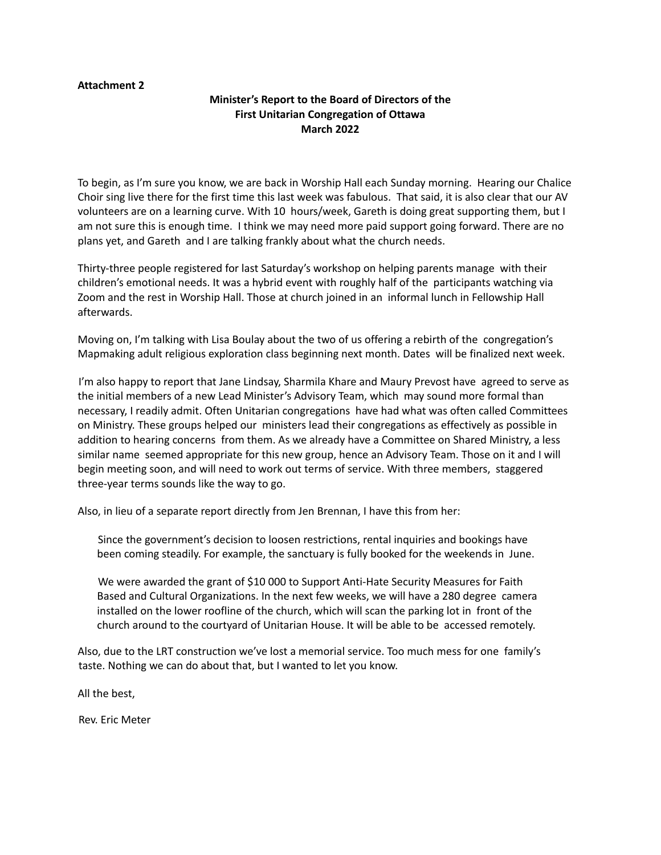#### **Attachment 2**

### **Minister's Report to the Board of Directors of the First Unitarian Congregation of Ottawa March 2022**

To begin, as I'm sure you know, we are back in Worship Hall each Sunday morning. Hearing our Chalice Choir sing live there for the first time this last week was fabulous. That said, it is also clear that our AV volunteers are on a learning curve. With 10 hours/week, Gareth is doing great supporting them, but I am not sure this is enough time. I think we may need more paid support going forward. There are no plans yet, and Gareth and I are talking frankly about what the church needs.

Thirty-three people registered for last Saturday's workshop on helping parents manage with their children's emotional needs. It was a hybrid event with roughly half of the participants watching via Zoom and the rest in Worship Hall. Those at church joined in an informal lunch in Fellowship Hall afterwards.

Moving on, I'm talking with Lisa Boulay about the two of us offering a rebirth of the congregation's Mapmaking adult religious exploration class beginning next month. Dates will be finalized next week.

I'm also happy to report that Jane Lindsay, Sharmila Khare and Maury Prevost have agreed to serve as the initial members of a new Lead Minister's Advisory Team, which may sound more formal than necessary, I readily admit. Often Unitarian congregations have had what was often called Committees on Ministry. These groups helped our ministers lead their congregations as effectively as possible in addition to hearing concerns from them. As we already have a Committee on Shared Ministry, a less similar name seemed appropriate for this new group, hence an Advisory Team. Those on it and I will begin meeting soon, and will need to work out terms of service. With three members, staggered three-year terms sounds like the way to go.

Also, in lieu of a separate report directly from Jen Brennan, I have this from her:

Since the government's decision to loosen restrictions, rental inquiries and bookings have been coming steadily. For example, the sanctuary is fully booked for the weekends in June.

We were awarded the grant of \$10 000 to Support Anti-Hate Security Measures for Faith Based and Cultural Organizations. In the next few weeks, we will have a 280 degree camera installed on the lower roofline of the church, which will scan the parking lot in front of the church around to the courtyard of Unitarian House. It will be able to be accessed remotely.

Also, due to the LRT construction we've lost a memorial service. Too much mess for one family's taste. Nothing we can do about that, but I wanted to let you know.

All the best,

Rev. Eric Meter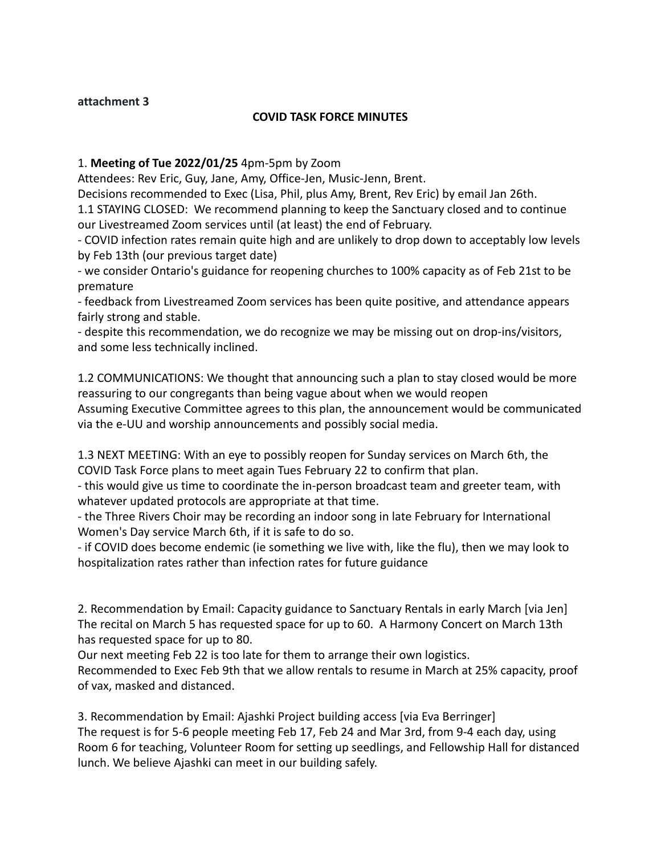## **attachment 3**

## **COVID TASK FORCE MINUTES**

## 1. **Meeting of Tue 2022/01/25** 4pm-5pm by Zoom

Attendees: Rev Eric, Guy, Jane, Amy, Office-Jen, Music-Jenn, Brent.

Decisions recommended to Exec (Lisa, Phil, plus Amy, Brent, Rev Eric) by email Jan 26th. 1.1 STAYING CLOSED: We recommend planning to keep the Sanctuary closed and to continue our Livestreamed Zoom services until (at least) the end of February.

- COVID infection rates remain quite high and are unlikely to drop down to acceptably low levels by Feb 13th (our previous target date)

- we consider Ontario's guidance for reopening churches to 100% capacity as of Feb 21st to be premature

- feedback from Livestreamed Zoom services has been quite positive, and attendance appears fairly strong and stable.

- despite this recommendation, we do recognize we may be missing out on drop-ins/visitors, and some less technically inclined.

1.2 COMMUNICATIONS: We thought that announcing such a plan to stay closed would be more reassuring to our congregants than being vague about when we would reopen Assuming Executive Committee agrees to this plan, the announcement would be communicated via the e-UU and worship announcements and possibly social media.

1.3 NEXT MEETING: With an eye to possibly reopen for Sunday services on March 6th, the COVID Task Force plans to meet again Tues February 22 to confirm that plan.

- this would give us time to coordinate the in-person broadcast team and greeter team, with whatever updated protocols are appropriate at that time.

- the Three Rivers Choir may be recording an indoor song in late February for International Women's Day service March 6th, if it is safe to do so.

- if COVID does become endemic (ie something we live with, like the flu), then we may look to hospitalization rates rather than infection rates for future guidance

2. Recommendation by Email: Capacity guidance to Sanctuary Rentals in early March [via Jen] The recital on March 5 has requested space for up to 60. A Harmony Concert on March 13th has requested space for up to 80.

Our next meeting Feb 22 is too late for them to arrange their own logistics.

Recommended to Exec Feb 9th that we allow rentals to resume in March at 25% capacity, proof of vax, masked and distanced.

3. Recommendation by Email: Ajashki Project building access [via Eva Berringer] The request is for 5-6 people meeting Feb 17, Feb 24 and Mar 3rd, from 9-4 each day, using Room 6 for teaching, Volunteer Room for setting up seedlings, and Fellowship Hall for distanced lunch. We believe Ajashki can meet in our building safely.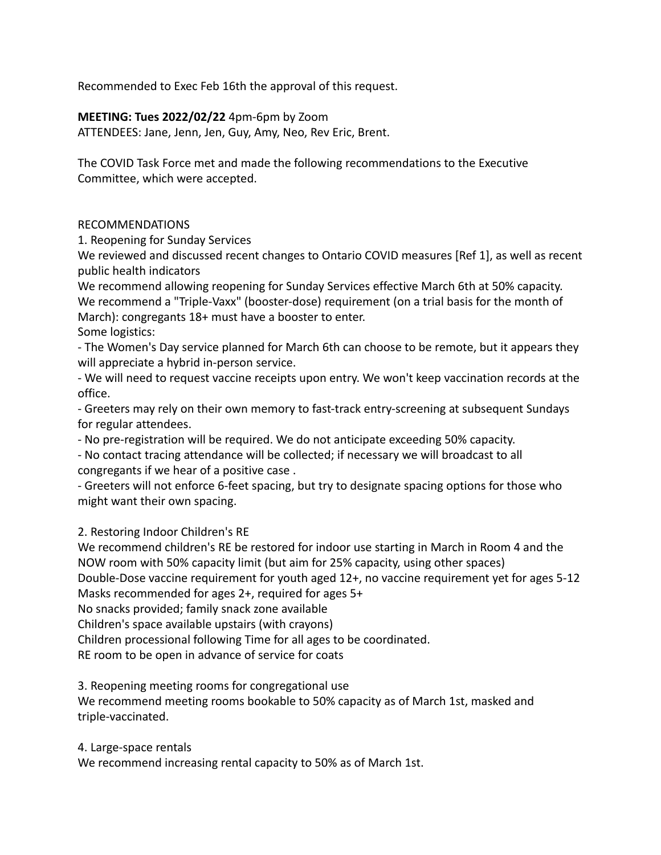Recommended to Exec Feb 16th the approval of this request.

## **MEETING: Tues 2022/02/22** 4pm-6pm by Zoom

ATTENDEES: Jane, Jenn, Jen, Guy, Amy, Neo, Rev Eric, Brent.

The COVID Task Force met and made the following recommendations to the Executive Committee, which were accepted.

### RECOMMENDATIONS

1. Reopening for Sunday Services

We reviewed and discussed recent changes to Ontario COVID measures [Ref 1], as well as recent public health indicators

We recommend allowing reopening for Sunday Services effective March 6th at 50% capacity. We recommend a "Triple-Vaxx" (booster-dose) requirement (on a trial basis for the month of March): congregants 18+ must have a booster to enter.

### Some logistics:

- The Women's Day service planned for March 6th can choose to be remote, but it appears they will appreciate a hybrid in-person service.

- We will need to request vaccine receipts upon entry. We won't keep vaccination records at the office.

- Greeters may rely on their own memory to fast-track entry-screening at subsequent Sundays for regular attendees.

- No pre-registration will be required. We do not anticipate exceeding 50% capacity.

- No contact tracing attendance will be collected; if necessary we will broadcast to all congregants if we hear of a positive case .

- Greeters will not enforce 6-feet spacing, but try to designate spacing options for those who might want their own spacing.

### 2. Restoring Indoor Children's RE

We recommend children's RE be restored for indoor use starting in March in Room 4 and the NOW room with 50% capacity limit (but aim for 25% capacity, using other spaces) Double-Dose vaccine requirement for youth aged 12+, no vaccine requirement yet for ages 5-12

Masks recommended for ages 2+, required for ages 5+

No snacks provided; family snack zone available

Children's space available upstairs (with crayons)

Children processional following Time for all ages to be coordinated.

RE room to be open in advance of service for coats

3. Reopening meeting rooms for congregational use

We recommend meeting rooms bookable to 50% capacity as of March 1st, masked and triple-vaccinated.

4. Large-space rentals

We recommend increasing rental capacity to 50% as of March 1st.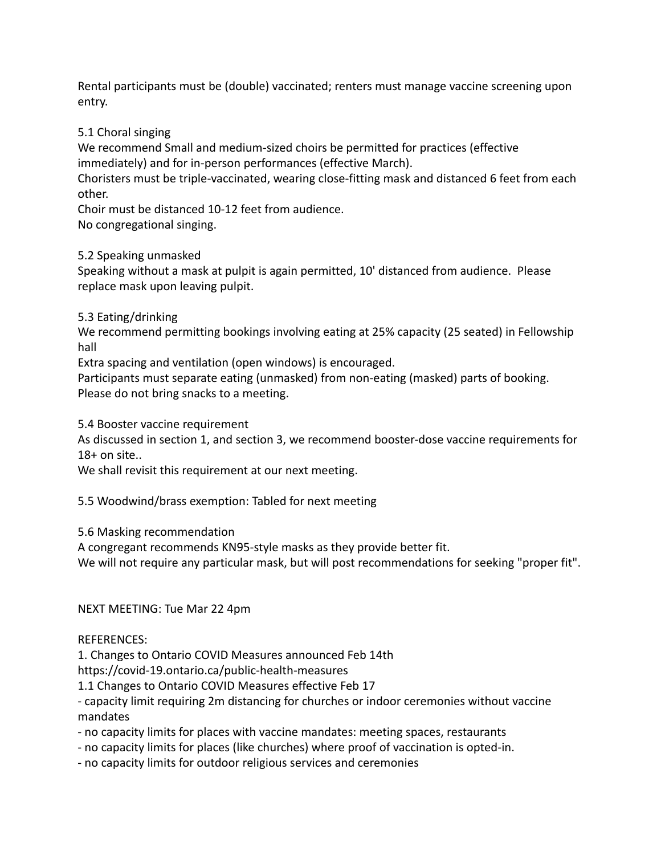Rental participants must be (double) vaccinated; renters must manage vaccine screening upon entry.

## 5.1 Choral singing

We recommend Small and medium-sized choirs be permitted for practices (effective immediately) and for in-person performances (effective March).

Choristers must be triple-vaccinated, wearing close-fitting mask and distanced 6 feet from each other.

Choir must be distanced 10-12 feet from audience.

No congregational singing.

### 5.2 Speaking unmasked

Speaking without a mask at pulpit is again permitted, 10' distanced from audience. Please replace mask upon leaving pulpit.

### 5.3 Eating/drinking

We recommend permitting bookings involving eating at 25% capacity (25 seated) in Fellowship hall

Extra spacing and ventilation (open windows) is encouraged.

Participants must separate eating (unmasked) from non-eating (masked) parts of booking. Please do not bring snacks to a meeting.

5.4 Booster vaccine requirement

As discussed in section 1, and section 3, we recommend booster-dose vaccine requirements for  $18+$  on site..

We shall revisit this requirement at our next meeting.

5.5 Woodwind/brass exemption: Tabled for next meeting

5.6 Masking recommendation

A congregant recommends KN95-style masks as they provide better fit.

We will not require any particular mask, but will post recommendations for seeking "proper fit".

### NEXT MEETING: Tue Mar 22 4pm

### REFERENCES:

1. Changes to Ontario COVID Measures announced Feb 14th

https://covid-19.ontario.ca/public-health-measures

1.1 Changes to Ontario COVID Measures effective Feb 17

- capacity limit requiring 2m distancing for churches or indoor ceremonies without vaccine mandates

- no capacity limits for places with vaccine mandates: meeting spaces, restaurants
- no capacity limits for places (like churches) where proof of vaccination is opted-in.
- no capacity limits for outdoor religious services and ceremonies